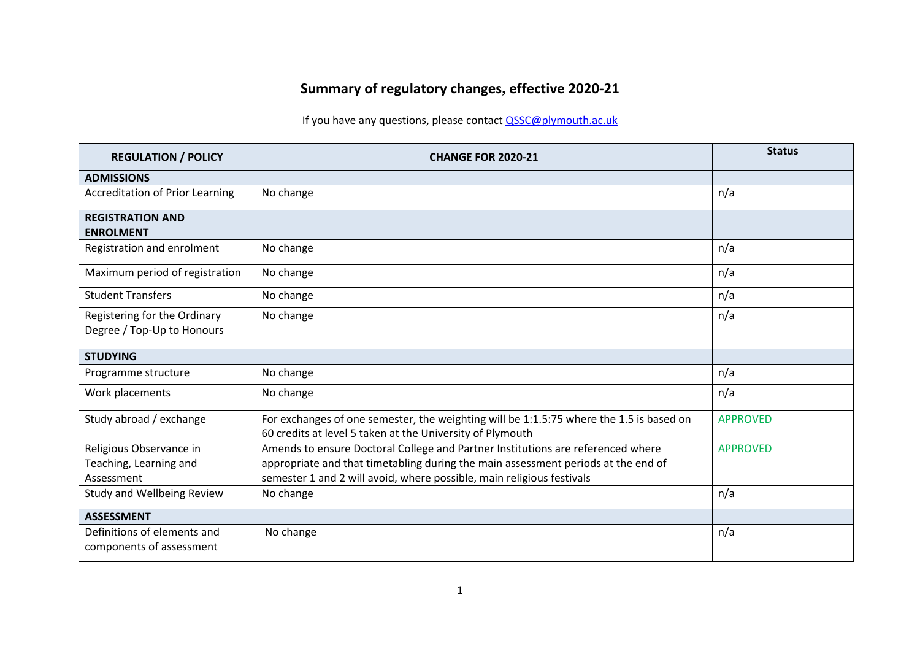## **Summary of regulatory changes, effective 2020-21**

## If you have any questions, please contact **QSSC@plymouth.ac.uk**

| <b>REGULATION / POLICY</b>                                      | <b>CHANGE FOR 2020-21</b>                                                                                                                                                                                                                     | <b>Status</b>   |
|-----------------------------------------------------------------|-----------------------------------------------------------------------------------------------------------------------------------------------------------------------------------------------------------------------------------------------|-----------------|
| <b>ADMISSIONS</b>                                               |                                                                                                                                                                                                                                               |                 |
| <b>Accreditation of Prior Learning</b>                          | No change                                                                                                                                                                                                                                     | n/a             |
| <b>REGISTRATION AND</b><br><b>ENROLMENT</b>                     |                                                                                                                                                                                                                                               |                 |
| Registration and enrolment                                      | No change                                                                                                                                                                                                                                     | n/a             |
| Maximum period of registration                                  | No change                                                                                                                                                                                                                                     | n/a             |
| <b>Student Transfers</b>                                        | No change                                                                                                                                                                                                                                     | n/a             |
| Registering for the Ordinary<br>Degree / Top-Up to Honours      | No change                                                                                                                                                                                                                                     | n/a             |
| <b>STUDYING</b>                                                 |                                                                                                                                                                                                                                               |                 |
| Programme structure                                             | No change                                                                                                                                                                                                                                     | n/a             |
| Work placements                                                 | No change                                                                                                                                                                                                                                     | n/a             |
| Study abroad / exchange                                         | For exchanges of one semester, the weighting will be 1:1.5:75 where the 1.5 is based on<br>60 credits at level 5 taken at the University of Plymouth                                                                                          | <b>APPROVED</b> |
| Religious Observance in<br>Teaching, Learning and<br>Assessment | Amends to ensure Doctoral College and Partner Institutions are referenced where<br>appropriate and that timetabling during the main assessment periods at the end of<br>semester 1 and 2 will avoid, where possible, main religious festivals | <b>APPROVED</b> |
| <b>Study and Wellbeing Review</b>                               | No change                                                                                                                                                                                                                                     | n/a             |
| <b>ASSESSMENT</b>                                               |                                                                                                                                                                                                                                               |                 |
| Definitions of elements and<br>components of assessment         | No change                                                                                                                                                                                                                                     | n/a             |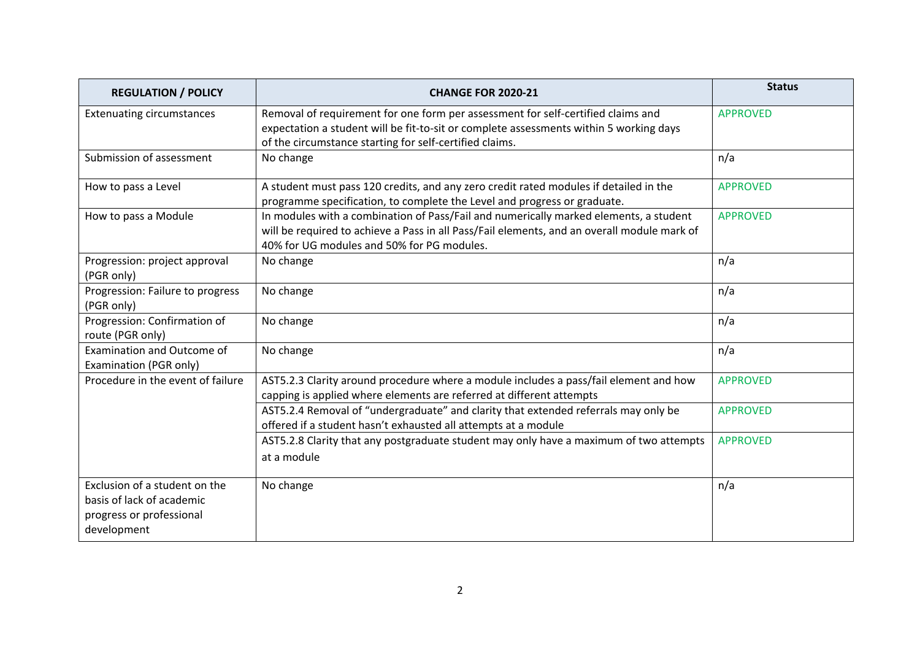| <b>REGULATION / POLICY</b>                                                                            | <b>CHANGE FOR 2020-21</b>                                                                                                                                                                                                             | <b>Status</b>   |
|-------------------------------------------------------------------------------------------------------|---------------------------------------------------------------------------------------------------------------------------------------------------------------------------------------------------------------------------------------|-----------------|
| <b>Extenuating circumstances</b>                                                                      | Removal of requirement for one form per assessment for self-certified claims and<br>expectation a student will be fit-to-sit or complete assessments within 5 working days<br>of the circumstance starting for self-certified claims. | <b>APPROVED</b> |
| Submission of assessment                                                                              | No change                                                                                                                                                                                                                             | n/a             |
| How to pass a Level                                                                                   | A student must pass 120 credits, and any zero credit rated modules if detailed in the<br>programme specification, to complete the Level and progress or graduate.                                                                     | <b>APPROVED</b> |
| How to pass a Module                                                                                  | In modules with a combination of Pass/Fail and numerically marked elements, a student<br>will be required to achieve a Pass in all Pass/Fail elements, and an overall module mark of<br>40% for UG modules and 50% for PG modules.    | <b>APPROVED</b> |
| Progression: project approval<br>(PGR only)                                                           | No change                                                                                                                                                                                                                             | n/a             |
| Progression: Failure to progress<br>(PGR only)                                                        | No change                                                                                                                                                                                                                             | n/a             |
| Progression: Confirmation of<br>route (PGR only)                                                      | No change                                                                                                                                                                                                                             | n/a             |
| Examination and Outcome of<br>Examination (PGR only)                                                  | No change                                                                                                                                                                                                                             | n/a             |
| Procedure in the event of failure                                                                     | AST5.2.3 Clarity around procedure where a module includes a pass/fail element and how<br>capping is applied where elements are referred at different attempts                                                                         | <b>APPROVED</b> |
|                                                                                                       | AST5.2.4 Removal of "undergraduate" and clarity that extended referrals may only be<br>offered if a student hasn't exhausted all attempts at a module                                                                                 | <b>APPROVED</b> |
|                                                                                                       | AST5.2.8 Clarity that any postgraduate student may only have a maximum of two attempts<br>at a module                                                                                                                                 | <b>APPROVED</b> |
| Exclusion of a student on the<br>basis of lack of academic<br>progress or professional<br>development | No change                                                                                                                                                                                                                             | n/a             |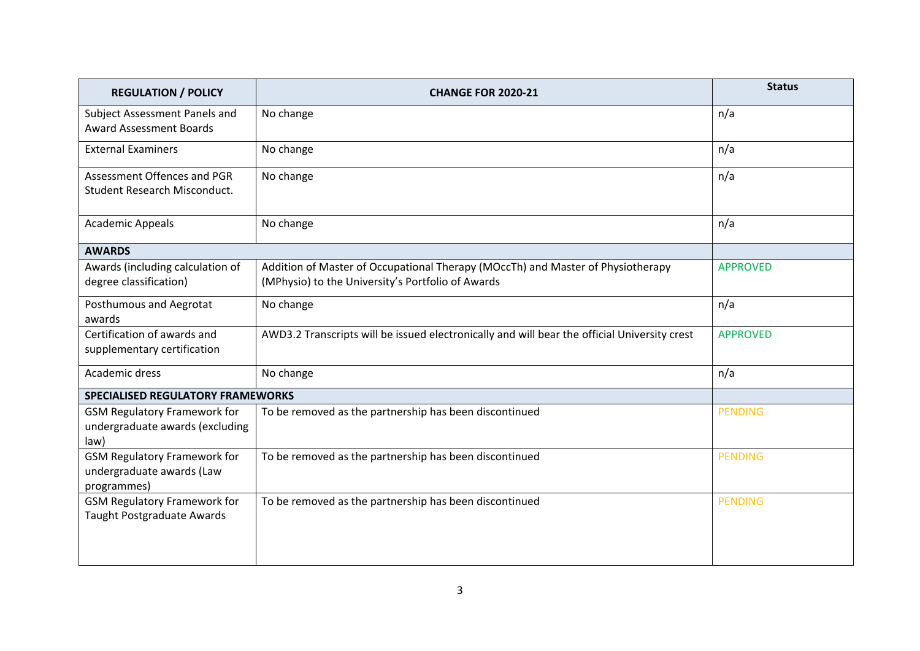| <b>REGULATION / POLICY</b>                                                      | <b>CHANGE FOR 2020-21</b>                                                                                                            | <b>Status</b>   |
|---------------------------------------------------------------------------------|--------------------------------------------------------------------------------------------------------------------------------------|-----------------|
| Subject Assessment Panels and<br><b>Award Assessment Boards</b>                 | No change                                                                                                                            | n/a             |
| <b>External Examiners</b>                                                       | No change                                                                                                                            | n/a             |
| Assessment Offences and PGR<br>Student Research Misconduct.                     | No change                                                                                                                            | n/a             |
| <b>Academic Appeals</b>                                                         | No change                                                                                                                            | n/a             |
| <b>AWARDS</b>                                                                   |                                                                                                                                      |                 |
| Awards (including calculation of<br>degree classification)                      | Addition of Master of Occupational Therapy (MOccTh) and Master of Physiotherapy<br>(MPhysio) to the University's Portfolio of Awards | <b>APPROVED</b> |
| Posthumous and Aegrotat<br>awards                                               | No change                                                                                                                            | n/a             |
| Certification of awards and<br>supplementary certification                      | AWD3.2 Transcripts will be issued electronically and will bear the official University crest                                         | <b>APPROVED</b> |
| Academic dress                                                                  | No change                                                                                                                            | n/a             |
| <b>SPECIALISED REGULATORY FRAMEWORKS</b>                                        |                                                                                                                                      |                 |
| <b>GSM Regulatory Framework for</b><br>undergraduate awards (excluding<br>law)  | To be removed as the partnership has been discontinued                                                                               | <b>PENDING</b>  |
| <b>GSM Regulatory Framework for</b><br>undergraduate awards (Law<br>programmes) | To be removed as the partnership has been discontinued                                                                               | <b>PENDING</b>  |
| <b>GSM Regulatory Framework for</b><br>Taught Postgraduate Awards               | To be removed as the partnership has been discontinued                                                                               | <b>PENDING</b>  |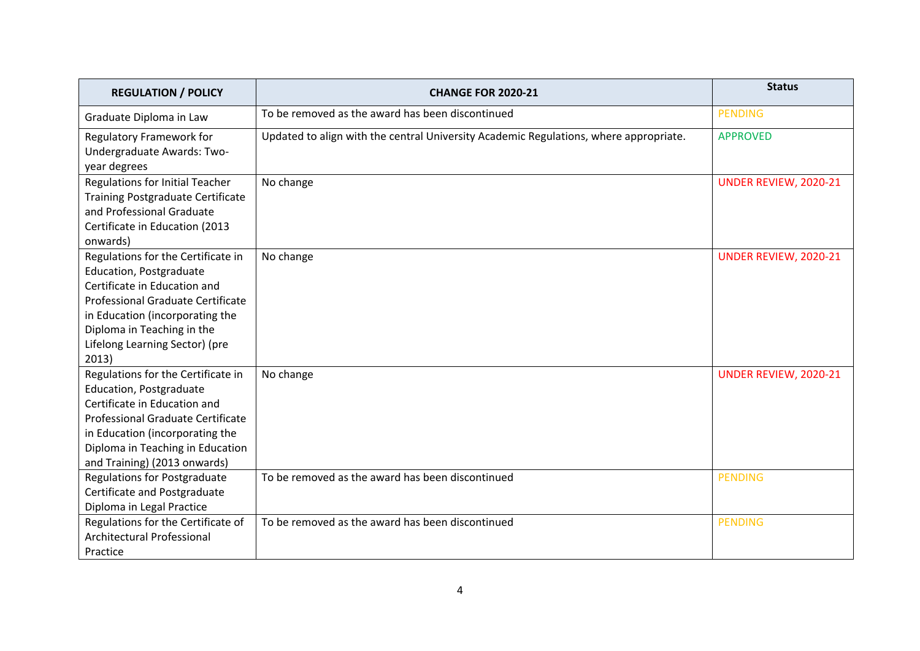| <b>REGULATION / POLICY</b>               | <b>CHANGE FOR 2020-21</b>                                                             | <b>Status</b>         |
|------------------------------------------|---------------------------------------------------------------------------------------|-----------------------|
| Graduate Diploma in Law                  | To be removed as the award has been discontinued                                      | <b>PENDING</b>        |
| <b>Regulatory Framework for</b>          | Updated to align with the central University Academic Regulations, where appropriate. | <b>APPROVED</b>       |
| Undergraduate Awards: Two-               |                                                                                       |                       |
| year degrees                             |                                                                                       |                       |
| <b>Regulations for Initial Teacher</b>   | No change                                                                             | UNDER REVIEW, 2020-21 |
| <b>Training Postgraduate Certificate</b> |                                                                                       |                       |
| and Professional Graduate                |                                                                                       |                       |
| Certificate in Education (2013           |                                                                                       |                       |
| onwards)                                 |                                                                                       |                       |
| Regulations for the Certificate in       | No change                                                                             | UNDER REVIEW, 2020-21 |
| Education, Postgraduate                  |                                                                                       |                       |
| Certificate in Education and             |                                                                                       |                       |
| Professional Graduate Certificate        |                                                                                       |                       |
| in Education (incorporating the          |                                                                                       |                       |
| Diploma in Teaching in the               |                                                                                       |                       |
| Lifelong Learning Sector) (pre           |                                                                                       |                       |
| 2013)                                    |                                                                                       |                       |
| Regulations for the Certificate in       | No change                                                                             | UNDER REVIEW, 2020-21 |
| Education, Postgraduate                  |                                                                                       |                       |
| Certificate in Education and             |                                                                                       |                       |
| Professional Graduate Certificate        |                                                                                       |                       |
| in Education (incorporating the          |                                                                                       |                       |
| Diploma in Teaching in Education         |                                                                                       |                       |
| and Training) (2013 onwards)             |                                                                                       |                       |
| <b>Regulations for Postgraduate</b>      | To be removed as the award has been discontinued                                      | <b>PENDING</b>        |
| Certificate and Postgraduate             |                                                                                       |                       |
| Diploma in Legal Practice                |                                                                                       |                       |
| Regulations for the Certificate of       | To be removed as the award has been discontinued                                      | <b>PENDING</b>        |
| Architectural Professional               |                                                                                       |                       |
| Practice                                 |                                                                                       |                       |